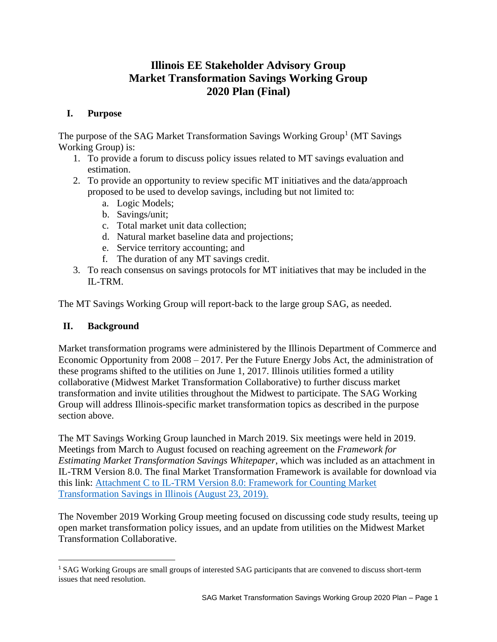# **Illinois EE Stakeholder Advisory Group Market Transformation Savings Working Group 2020 Plan (Final)**

# **I. Purpose**

The purpose of the SAG Market Transformation Savings Working Group<sup>1</sup> (MT Savings Working Group) is:

- 1. To provide a forum to discuss policy issues related to MT savings evaluation and estimation.
- 2. To provide an opportunity to review specific MT initiatives and the data/approach proposed to be used to develop savings, including but not limited to:
	- a. Logic Models;
	- b. Savings/unit;
	- c. Total market unit data collection;
	- d. Natural market baseline data and projections;
	- e. Service territory accounting; and
	- f. The duration of any MT savings credit.
- 3. To reach consensus on savings protocols for MT initiatives that may be included in the IL-TRM.

The MT Savings Working Group will report-back to the large group SAG, as needed.

# **II. Background**

Market transformation programs were administered by the Illinois Department of Commerce and Economic Opportunity from 2008 – 2017. Per the Future Energy Jobs Act, the administration of these programs shifted to the utilities on June 1, 2017. Illinois utilities formed a utility collaborative (Midwest Market Transformation Collaborative) to further discuss market transformation and invite utilities throughout the Midwest to participate. The SAG Working Group will address Illinois-specific market transformation topics as described in the purpose section above.

The MT Savings Working Group launched in March 2019. Six meetings were held in 2019. Meetings from March to August focused on reaching agreement on the *Framework for Estimating Market Transformation Savings Whitepaper*, which was included as an attachment in IL-TRM Version 8.0. The final Market Transformation Framework is available for download via this link: [Attachment C to IL-TRM Version 8.0: Framework for Counting Market](https://s3.amazonaws.com/ilsag/MT_Savings_Paper_Final_08-23-2019.pdf)  [Transformation Savings in Illinois \(August 23, 2019\).](https://s3.amazonaws.com/ilsag/MT_Savings_Paper_Final_08-23-2019.pdf)

The November 2019 Working Group meeting focused on discussing code study results, teeing up open market transformation policy issues, and an update from utilities on the Midwest Market Transformation Collaborative.

<sup>1</sup> SAG Working Groups are small groups of interested SAG participants that are convened to discuss short-term issues that need resolution.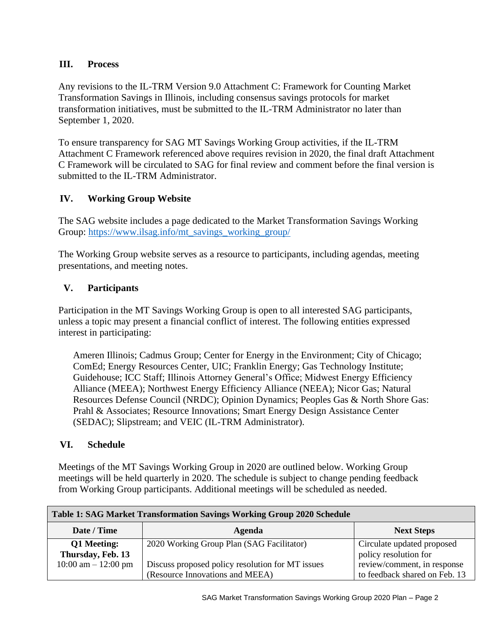### **III. Process**

Any revisions to the IL-TRM Version 9.0 Attachment C: Framework for Counting Market Transformation Savings in Illinois, including consensus savings protocols for market transformation initiatives, must be submitted to the IL-TRM Administrator no later than September 1, 2020.

To ensure transparency for SAG MT Savings Working Group activities, if the IL-TRM Attachment C Framework referenced above requires revision in 2020, the final draft Attachment C Framework will be circulated to SAG for final review and comment before the final version is submitted to the IL-TRM Administrator.

# **IV. Working Group Website**

The SAG website includes a page dedicated to the Market Transformation Savings Working Group: [https://www.ilsag.info/mt\\_savings\\_working\\_group/](https://www.ilsag.info/mt_savings_working_group/)

The Working Group website serves as a resource to participants, including agendas, meeting presentations, and meeting notes.

# **V. Participants**

Participation in the MT Savings Working Group is open to all interested SAG participants, unless a topic may present a financial conflict of interest. The following entities expressed interest in participating:

Ameren Illinois; Cadmus Group; Center for Energy in the Environment; City of Chicago; ComEd; Energy Resources Center, UIC; Franklin Energy; Gas Technology Institute; Guidehouse; ICC Staff; Illinois Attorney General's Office; Midwest Energy Efficiency Alliance (MEEA); Northwest Energy Efficiency Alliance (NEEA); Nicor Gas; Natural Resources Defense Council (NRDC); Opinion Dynamics; Peoples Gas & North Shore Gas: Prahl & Associates; Resource Innovations; Smart Energy Design Assistance Center (SEDAC); Slipstream; and VEIC (IL-TRM Administrator).

# **VI. Schedule**

Meetings of the MT Savings Working Group in 2020 are outlined below. Working Group meetings will be held quarterly in 2020. The schedule is subject to change pending feedback from Working Group participants. Additional meetings will be scheduled as needed.

| <b>Table 1: SAG Market Transformation Savings Working Group 2020 Schedule</b> |                                                  |                               |  |
|-------------------------------------------------------------------------------|--------------------------------------------------|-------------------------------|--|
| Date / Time                                                                   | Agenda                                           | <b>Next Steps</b>             |  |
| Q1 Meeting:                                                                   | 2020 Working Group Plan (SAG Facilitator)        | Circulate updated proposed    |  |
| Thursday, Feb. 13                                                             |                                                  | policy resolution for         |  |
| $10:00$ am $- 12:00$ pm                                                       | Discuss proposed policy resolution for MT issues | review/comment, in response   |  |
|                                                                               | (Resource Innovations and MEEA)                  | to feedback shared on Feb. 13 |  |